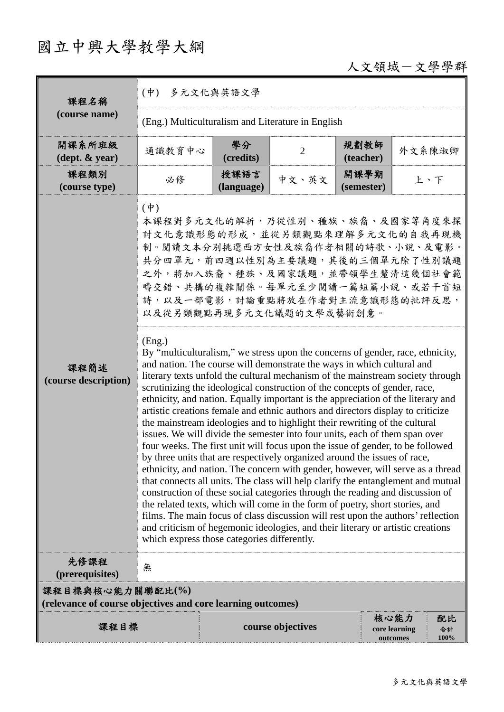# 國立中興大學教學大綱

## 人文領域-文學學群

| 課程名稱                                       | $(\dot{\Psi})$<br>多元文化與英語文學                                                     |                                                                                                                                                                                                                                                                                                                                                                                                                                                                                                                                                                                                                                                                                                                                                                                                                                                                                                                                                                                                                                                                                                                                                                                                                                                                                                                                                                                                                                                                                                                                                                                                                                      |                   |                    |                                   |                  |  |  |
|--------------------------------------------|---------------------------------------------------------------------------------|--------------------------------------------------------------------------------------------------------------------------------------------------------------------------------------------------------------------------------------------------------------------------------------------------------------------------------------------------------------------------------------------------------------------------------------------------------------------------------------------------------------------------------------------------------------------------------------------------------------------------------------------------------------------------------------------------------------------------------------------------------------------------------------------------------------------------------------------------------------------------------------------------------------------------------------------------------------------------------------------------------------------------------------------------------------------------------------------------------------------------------------------------------------------------------------------------------------------------------------------------------------------------------------------------------------------------------------------------------------------------------------------------------------------------------------------------------------------------------------------------------------------------------------------------------------------------------------------------------------------------------------|-------------------|--------------------|-----------------------------------|------------------|--|--|
| (course name)                              | (Eng.) Multiculturalism and Literature in English                               |                                                                                                                                                                                                                                                                                                                                                                                                                                                                                                                                                                                                                                                                                                                                                                                                                                                                                                                                                                                                                                                                                                                                                                                                                                                                                                                                                                                                                                                                                                                                                                                                                                      |                   |                    |                                   |                  |  |  |
| 開課系所班級<br>$(\text{dept.} \& \text{ year})$ | 通識教育中心                                                                          | 學分<br>(credits)                                                                                                                                                                                                                                                                                                                                                                                                                                                                                                                                                                                                                                                                                                                                                                                                                                                                                                                                                                                                                                                                                                                                                                                                                                                                                                                                                                                                                                                                                                                                                                                                                      | $\overline{2}$    | 規劃教師<br>(teacher)  | 外文系陳淑卿                            |                  |  |  |
| 課程類別<br>(course type)                      | 必修                                                                              | 授課語言<br>(language)                                                                                                                                                                                                                                                                                                                                                                                                                                                                                                                                                                                                                                                                                                                                                                                                                                                                                                                                                                                                                                                                                                                                                                                                                                                                                                                                                                                                                                                                                                                                                                                                                   | 中文、英文             | 開課學期<br>(semester) |                                   |                  |  |  |
| 課程簡述<br>(course description)               | $(\dagger)$<br>(Eng.)<br>which express those categories differently.            | 上、下<br>本課程對多元文化的解析,乃從性別、種族、族裔、及國家等角度來探<br>討文化意識形態的形成,並從另類觀點來理解多元文化的自我再現機<br>制。閱讀文本分別挑選西方女性及族裔作者相關的詩歌、小說、及電影。<br>共分四單元, 前四週以性別為主要議題, 其後的三個單元除了性別議題<br>之外,將加入族裔、種族、及國家議題,並帶領學生釐清這幾個社會範<br>疇交錯、共構的複雜關係。每單元至少閱讀一篇短篇小說、或若干首短<br>詩,以及一部電影,討論重點將放在作者對主流意識形態的批評反思,<br>以及從另類觀點再現多元文化議題的文學或藝術創意。<br>By "multiculturalism," we stress upon the concerns of gender, race, ethnicity,<br>and nation. The course will demonstrate the ways in which cultural and<br>literary texts unfold the cultural mechanism of the mainstream society through<br>scrutinizing the ideological construction of the concepts of gender, race,<br>ethnicity, and nation. Equally important is the appreciation of the literary and<br>artistic creations female and ethnic authors and directors display to criticize<br>the mainstream ideologies and to highlight their rewriting of the cultural<br>issues. We will divide the semester into four units, each of them span over<br>four weeks. The first unit will focus upon the issue of gender, to be followed<br>by three units that are respectively organized around the issues of race,<br>ethnicity, and nation. The concern with gender, however, will serve as a thread<br>that connects all units. The class will help clarify the entanglement and mutual<br>construction of these social categories through the reading and discussion of<br>the related texts, which will come in the form of poetry, short stories, and<br>films. The main focus of class discussion will rest upon the authors' reflection<br>and criticism of hegemonic ideologies, and their literary or artistic creations |                   |                    |                                   |                  |  |  |
| 先修課程<br>(prerequisites)                    | 無                                                                               |                                                                                                                                                                                                                                                                                                                                                                                                                                                                                                                                                                                                                                                                                                                                                                                                                                                                                                                                                                                                                                                                                                                                                                                                                                                                                                                                                                                                                                                                                                                                                                                                                                      |                   |                    |                                   |                  |  |  |
|                                            | 課程目標與核心能力關聯配比(%)<br>(relevance of course objectives and core learning outcomes) |                                                                                                                                                                                                                                                                                                                                                                                                                                                                                                                                                                                                                                                                                                                                                                                                                                                                                                                                                                                                                                                                                                                                                                                                                                                                                                                                                                                                                                                                                                                                                                                                                                      |                   |                    |                                   |                  |  |  |
| 課程目標                                       |                                                                                 |                                                                                                                                                                                                                                                                                                                                                                                                                                                                                                                                                                                                                                                                                                                                                                                                                                                                                                                                                                                                                                                                                                                                                                                                                                                                                                                                                                                                                                                                                                                                                                                                                                      | course objectives |                    | 核心能力<br>core learning<br>outcomes | 配比<br>合計<br>100% |  |  |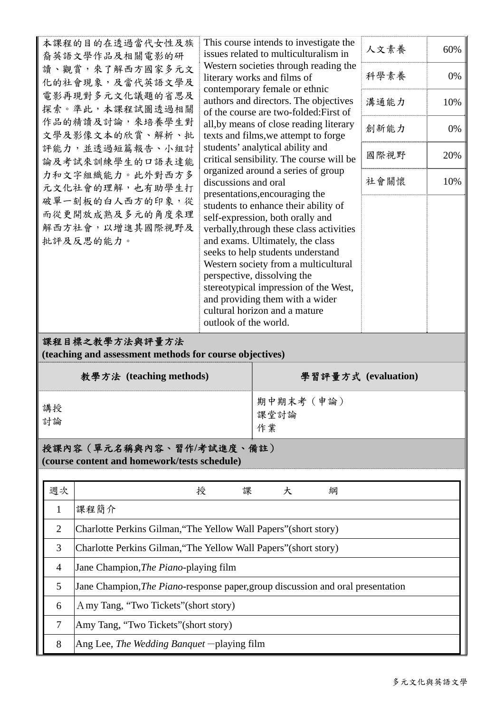| 本課程的目的在透過當代女性及族<br>裔英語文學作品及相關電影的研<br>讀、觀賞,來了解西方國家多元文<br>化的社會現象,及當代英語文學及<br>電影再現對多元文化議題的省思及<br>探索。準此,本課程試圖透過相關<br>作品的精讀及討論,來培養學生對<br>文學及影像文本的欣賞、解析、批<br>評能力,並透過短篇報告、小組討<br>論及考試來訓練學生的口語表達能<br>力和文字組織能力。此外對西方多<br>discussions and oral<br>元文化社會的理解,也有助學生打<br>破單一刻板的白人西方的印象,從<br>而從更開放成熟及多元的角度來理<br>解西方社會,以增進其國際視野及<br>批評及反思的能力。<br>outlook of the world. |                                                                                 |                                                                                                                                                                                                                                                                                                                                                                                                                                                           | This course intends to investigate the<br>issues related to multiculturalism in<br>Western societies through reading the<br>literary works and films of<br>contemporary female or ethnic<br>authors and directors. The objectives<br>of the course are two-folded: First of |      | 人文素養<br>科學素養<br>溝通能力 | 60%<br>0%<br>10% |  |
|--------------------------------------------------------------------------------------------------------------------------------------------------------------------------------------------------------------------------------------------------------------------------------------------------------------------------------------------------------|---------------------------------------------------------------------------------|-----------------------------------------------------------------------------------------------------------------------------------------------------------------------------------------------------------------------------------------------------------------------------------------------------------------------------------------------------------------------------------------------------------------------------------------------------------|-----------------------------------------------------------------------------------------------------------------------------------------------------------------------------------------------------------------------------------------------------------------------------|------|----------------------|------------------|--|
|                                                                                                                                                                                                                                                                                                                                                        |                                                                                 |                                                                                                                                                                                                                                                                                                                                                                                                                                                           | all, by means of close reading literary<br>texts and films, we attempt to forge<br>students' analytical ability and<br>critical sensibility. The course will be                                                                                                             | 創新能力 | 0%                   |                  |  |
|                                                                                                                                                                                                                                                                                                                                                        |                                                                                 |                                                                                                                                                                                                                                                                                                                                                                                                                                                           |                                                                                                                                                                                                                                                                             | 國際視野 | 20%                  |                  |  |
|                                                                                                                                                                                                                                                                                                                                                        |                                                                                 | organized around a series of group<br>presentations, encouraging the<br>students to enhance their ability of<br>self-expression, both orally and<br>verbally, through these class activities<br>and exams. Ultimately, the class<br>seeks to help students understand<br>Western society from a multicultural<br>perspective, dissolving the<br>stereotypical impression of the West,<br>and providing them with a wider<br>cultural horizon and a mature |                                                                                                                                                                                                                                                                             | 社會關懷 | 10%                  |                  |  |
|                                                                                                                                                                                                                                                                                                                                                        | 課程目標之教學方法與評量方法                                                                  |                                                                                                                                                                                                                                                                                                                                                                                                                                                           |                                                                                                                                                                                                                                                                             |      |                      |                  |  |
| (teaching and assessment methods for course objectives)<br>學習評量方式 (evaluation)                                                                                                                                                                                                                                                                         |                                                                                 |                                                                                                                                                                                                                                                                                                                                                                                                                                                           |                                                                                                                                                                                                                                                                             |      |                      |                  |  |
|                                                                                                                                                                                                                                                                                                                                                        | 教學方法 (teaching methods)                                                         |                                                                                                                                                                                                                                                                                                                                                                                                                                                           |                                                                                                                                                                                                                                                                             |      |                      |                  |  |
| 講授<br>討論                                                                                                                                                                                                                                                                                                                                               |                                                                                 | 期中期末考 (申論)<br>課堂討論<br>作業                                                                                                                                                                                                                                                                                                                                                                                                                                  |                                                                                                                                                                                                                                                                             |      |                      |                  |  |
| 授課內容 (單元名稱與內容、習作/考試進度、備註)<br>(course content and homework/tests schedule)                                                                                                                                                                                                                                                                              |                                                                                 |                                                                                                                                                                                                                                                                                                                                                                                                                                                           |                                                                                                                                                                                                                                                                             |      |                      |                  |  |
| 週次                                                                                                                                                                                                                                                                                                                                                     |                                                                                 | 授<br>課                                                                                                                                                                                                                                                                                                                                                                                                                                                    | 大                                                                                                                                                                                                                                                                           | 綱    |                      |                  |  |
| $\mathbf{1}$                                                                                                                                                                                                                                                                                                                                           | 課程簡介                                                                            |                                                                                                                                                                                                                                                                                                                                                                                                                                                           |                                                                                                                                                                                                                                                                             |      |                      |                  |  |
| $\overline{2}$                                                                                                                                                                                                                                                                                                                                         | Charlotte Perkins Gilman, "The Yellow Wall Papers" (short story)                |                                                                                                                                                                                                                                                                                                                                                                                                                                                           |                                                                                                                                                                                                                                                                             |      |                      |                  |  |
| 3                                                                                                                                                                                                                                                                                                                                                      | Charlotte Perkins Gilman, "The Yellow Wall Papers" (short story)                |                                                                                                                                                                                                                                                                                                                                                                                                                                                           |                                                                                                                                                                                                                                                                             |      |                      |                  |  |
|                                                                                                                                                                                                                                                                                                                                                        |                                                                                 | Jane Champion, The Piano-playing film                                                                                                                                                                                                                                                                                                                                                                                                                     |                                                                                                                                                                                                                                                                             |      |                      |                  |  |
| 4                                                                                                                                                                                                                                                                                                                                                      |                                                                                 |                                                                                                                                                                                                                                                                                                                                                                                                                                                           |                                                                                                                                                                                                                                                                             |      |                      |                  |  |
| 5                                                                                                                                                                                                                                                                                                                                                      | Jane Champion, The Piano-response paper, group discussion and oral presentation |                                                                                                                                                                                                                                                                                                                                                                                                                                                           |                                                                                                                                                                                                                                                                             |      |                      |                  |  |
| 6                                                                                                                                                                                                                                                                                                                                                      | A my Tang, "Two Tickets" (short story)                                          |                                                                                                                                                                                                                                                                                                                                                                                                                                                           |                                                                                                                                                                                                                                                                             |      |                      |                  |  |
| 7                                                                                                                                                                                                                                                                                                                                                      | Amy Tang, "Two Tickets" (short story)                                           |                                                                                                                                                                                                                                                                                                                                                                                                                                                           |                                                                                                                                                                                                                                                                             |      |                      |                  |  |